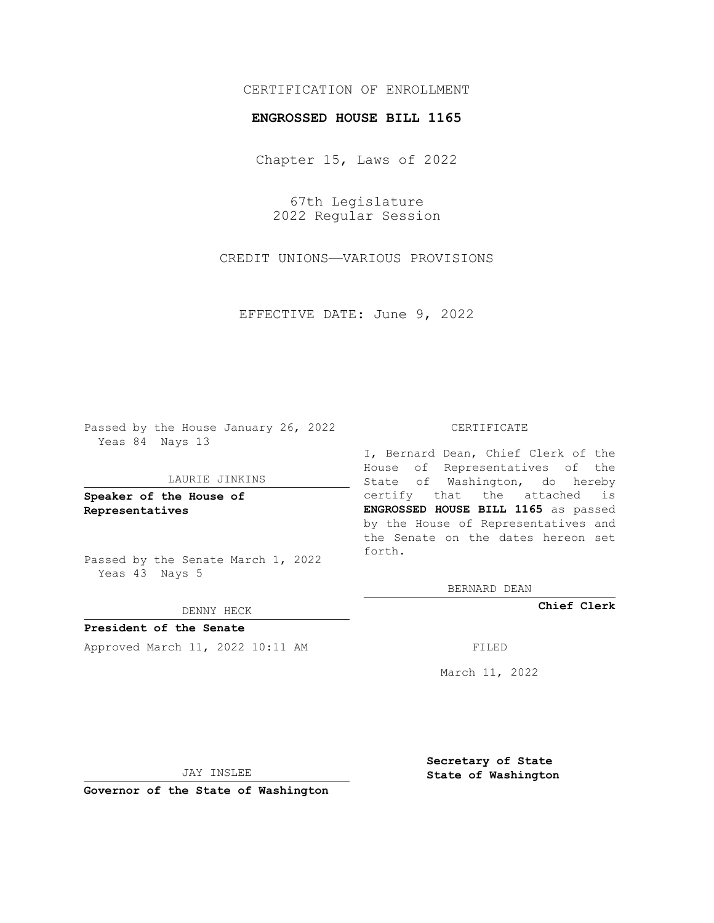# CERTIFICATION OF ENROLLMENT

### **ENGROSSED HOUSE BILL 1165**

Chapter 15, Laws of 2022

67th Legislature 2022 Regular Session

CREDIT UNIONS—VARIOUS PROVISIONS

EFFECTIVE DATE: June 9, 2022

Passed by the House January 26, 2022 Yeas 84 Nays 13

#### LAURIE JINKINS

**Speaker of the House of Representatives**

Passed by the Senate March 1, 2022 Yeas 43 Nays 5

### DENNY HECK

**President of the Senate** Approved March 11, 2022 10:11 AM FILED

### CERTIFICATE

I, Bernard Dean, Chief Clerk of the House of Representatives of the State of Washington, do hereby certify that the attached is **ENGROSSED HOUSE BILL 1165** as passed by the House of Representatives and the Senate on the dates hereon set forth.

BERNARD DEAN

**Chief Clerk**

March 11, 2022

JAY INSLEE

**Governor of the State of Washington**

**Secretary of State State of Washington**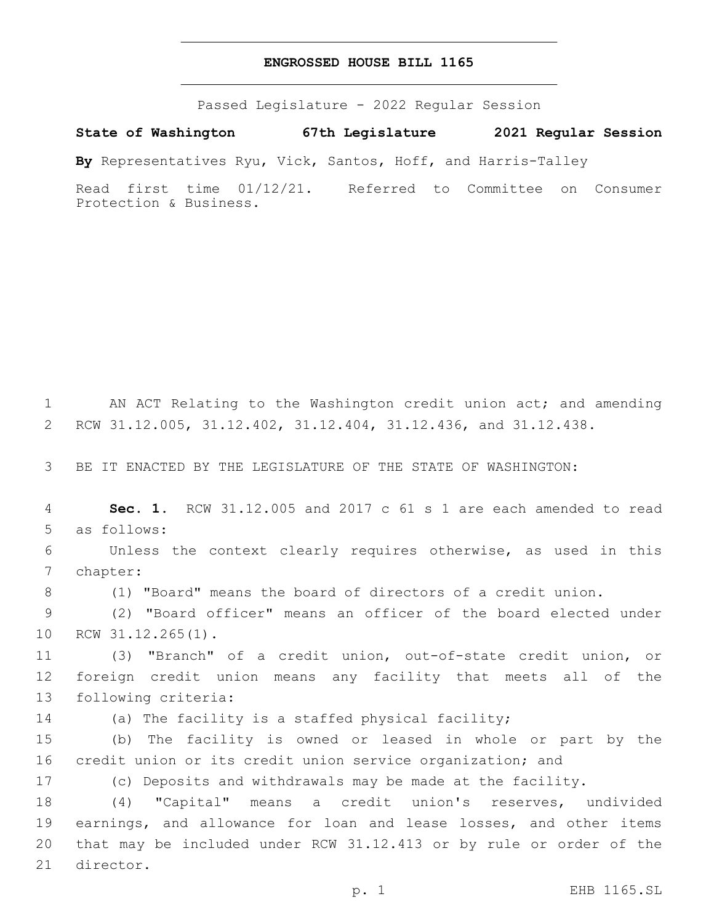## **ENGROSSED HOUSE BILL 1165**

Passed Legislature - 2022 Regular Session

**State of Washington 67th Legislature 2021 Regular Session**

**By** Representatives Ryu, Vick, Santos, Hoff, and Harris-Talley

Read first time 01/12/21. Referred to Committee on Consumer Protection & Business.

 AN ACT Relating to the Washington credit union act; and amending RCW 31.12.005, 31.12.402, 31.12.404, 31.12.436, and 31.12.438. BE IT ENACTED BY THE LEGISLATURE OF THE STATE OF WASHINGTON: **Sec. 1.** RCW 31.12.005 and 2017 c 61 s 1 are each amended to read 5 as follows: Unless the context clearly requires otherwise, as used in this 7 chapter: (1) "Board" means the board of directors of a credit union. (2) "Board officer" means an officer of the board elected under 10 RCW 31.12.265(1). (3) "Branch" of a credit union, out-of-state credit union, or foreign credit union means any facility that meets all of the 13 following criteria: (a) The facility is a staffed physical facility; (b) The facility is owned or leased in whole or part by the credit union or its credit union service organization; and (c) Deposits and withdrawals may be made at the facility. (4) "Capital" means a credit union's reserves, undivided earnings, and allowance for loan and lease losses, and other items that may be included under RCW 31.12.413 or by rule or order of the 21 director. p. 1 EHB 1165.SL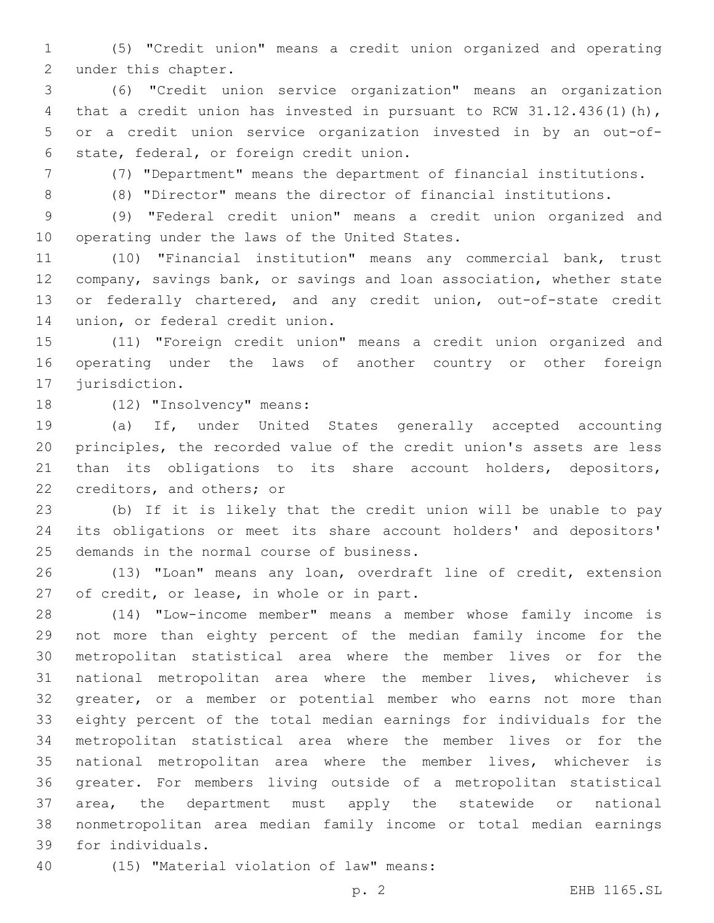(5) "Credit union" means a credit union organized and operating 2 under this chapter.

 (6) "Credit union service organization" means an organization 4 that a credit union has invested in pursuant to RCW 31.12.436(1)(h), or a credit union service organization invested in by an out-of-6 state, federal, or foreign credit union.

(7) "Department" means the department of financial institutions.

(8) "Director" means the director of financial institutions.

 (9) "Federal credit union" means a credit union organized and 10 operating under the laws of the United States.

 (10) "Financial institution" means any commercial bank, trust company, savings bank, or savings and loan association, whether state 13 or federally chartered, and any credit union, out-of-state credit 14 union, or federal credit union.

 (11) "Foreign credit union" means a credit union organized and operating under the laws of another country or other foreign 17 jurisdiction.

18 (12) "Insolvency" means:

 (a) If, under United States generally accepted accounting principles, the recorded value of the credit union's assets are less than its obligations to its share account holders, depositors, 22 creditors, and others; or

 (b) If it is likely that the credit union will be unable to pay its obligations or meet its share account holders' and depositors' 25 demands in the normal course of business.

 (13) "Loan" means any loan, overdraft line of credit, extension 27 of credit, or lease, in whole or in part.

 (14) "Low-income member" means a member whose family income is not more than eighty percent of the median family income for the metropolitan statistical area where the member lives or for the national metropolitan area where the member lives, whichever is greater, or a member or potential member who earns not more than eighty percent of the total median earnings for individuals for the metropolitan statistical area where the member lives or for the national metropolitan area where the member lives, whichever is greater. For members living outside of a metropolitan statistical area, the department must apply the statewide or national nonmetropolitan area median family income or total median earnings 39 for individuals.

40 (15) "Material violation of law" means: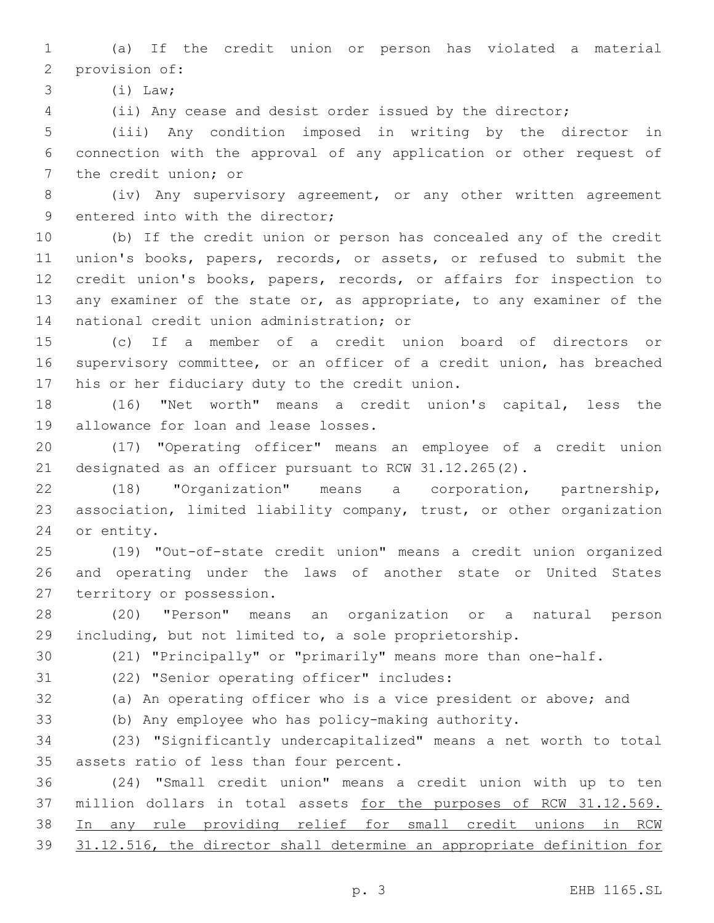(a) If the credit union or person has violated a material 2 provision of:

(i) Law;3

(ii) Any cease and desist order issued by the director;

 (iii) Any condition imposed in writing by the director in connection with the approval of any application or other request of 7 the credit union; or

 (iv) Any supervisory agreement, or any other written agreement 9 entered into with the director;

 (b) If the credit union or person has concealed any of the credit union's books, papers, records, or assets, or refused to submit the credit union's books, papers, records, or affairs for inspection to any examiner of the state or, as appropriate, to any examiner of the 14 national credit union administration; or

 (c) If a member of a credit union board of directors or supervisory committee, or an officer of a credit union, has breached 17 his or her fiduciary duty to the credit union.

 (16) "Net worth" means a credit union's capital, less the 19 allowance for loan and lease losses.

 (17) "Operating officer" means an employee of a credit union designated as an officer pursuant to RCW 31.12.265(2).

 (18) "Organization" means a corporation, partnership, association, limited liability company, trust, or other organization 24 or entity.

 (19) "Out-of-state credit union" means a credit union organized and operating under the laws of another state or United States 27 territory or possession.

 (20) "Person" means an organization or a natural person including, but not limited to, a sole proprietorship.

(21) "Principally" or "primarily" means more than one-half.

31 (22) "Senior operating officer" includes:

(a) An operating officer who is a vice president or above; and

(b) Any employee who has policy-making authority.

 (23) "Significantly undercapitalized" means a net worth to total 35 assets ratio of less than four percent.

 (24) "Small credit union" means a credit union with up to ten 37 million dollars in total assets for the purposes of RCW 31.12.569. In any rule providing relief for small credit unions in RCW 31.12.516, the director shall determine an appropriate definition for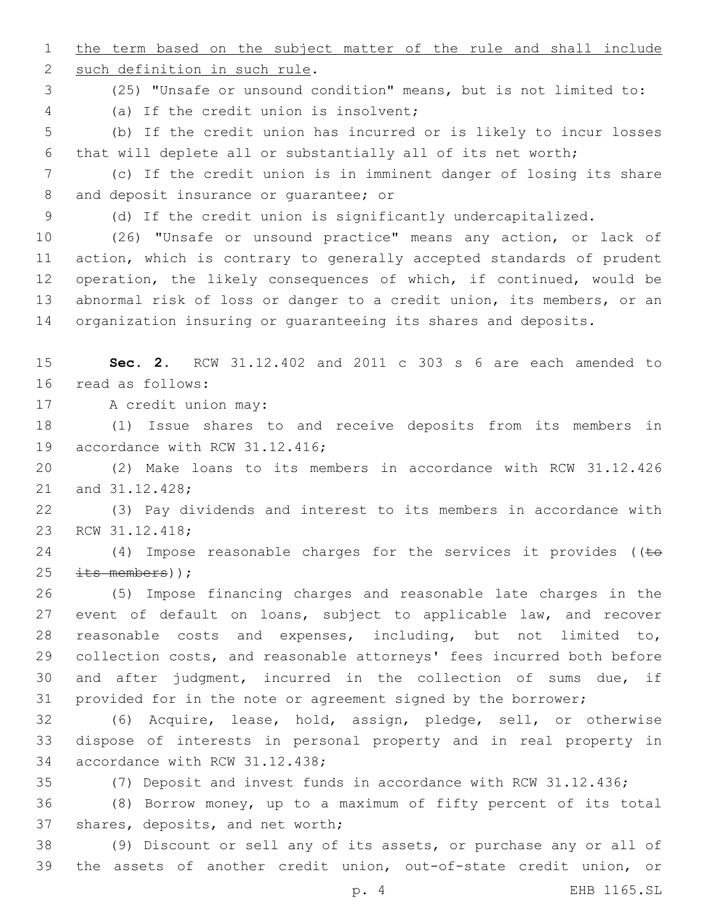1 the term based on the subject matter of the rule and shall include 2 such definition in such rule. (25) "Unsafe or unsound condition" means, but is not limited to: (a) If the credit union is insolvent;4 (b) If the credit union has incurred or is likely to incur losses that will deplete all or substantially all of its net worth; (c) If the credit union is in imminent danger of losing its share 8 and deposit insurance or quarantee; or (d) If the credit union is significantly undercapitalized. (26) "Unsafe or unsound practice" means any action, or lack of action, which is contrary to generally accepted standards of prudent operation, the likely consequences of which, if continued, would be abnormal risk of loss or danger to a credit union, its members, or an organization insuring or guaranteeing its shares and deposits. **Sec. 2.** RCW 31.12.402 and 2011 c 303 s 6 are each amended to 16 read as follows: 17 A credit union may: (1) Issue shares to and receive deposits from its members in 19 accordance with RCW 31.12.416; (2) Make loans to its members in accordance with RCW 31.12.426 21 and 31.12.428; (3) Pay dividends and interest to its members in accordance with 23 RCW 31.12.418; 24 (4) Impose reasonable charges for the services it provides ( $\epsilon$  $\pm$ ts members)); (5) Impose financing charges and reasonable late charges in the 27 event of default on loans, subject to applicable law, and recover reasonable costs and expenses, including, but not limited to, collection costs, and reasonable attorneys' fees incurred both before and after judgment, incurred in the collection of sums due, if provided for in the note or agreement signed by the borrower; (6) Acquire, lease, hold, assign, pledge, sell, or otherwise dispose of interests in personal property and in real property in 34 accordance with RCW 31.12.438; (7) Deposit and invest funds in accordance with RCW 31.12.436; (8) Borrow money, up to a maximum of fifty percent of its total 37 shares, deposits, and net worth; (9) Discount or sell any of its assets, or purchase any or all of the assets of another credit union, out-of-state credit union, or

p. 4 EHB 1165.SL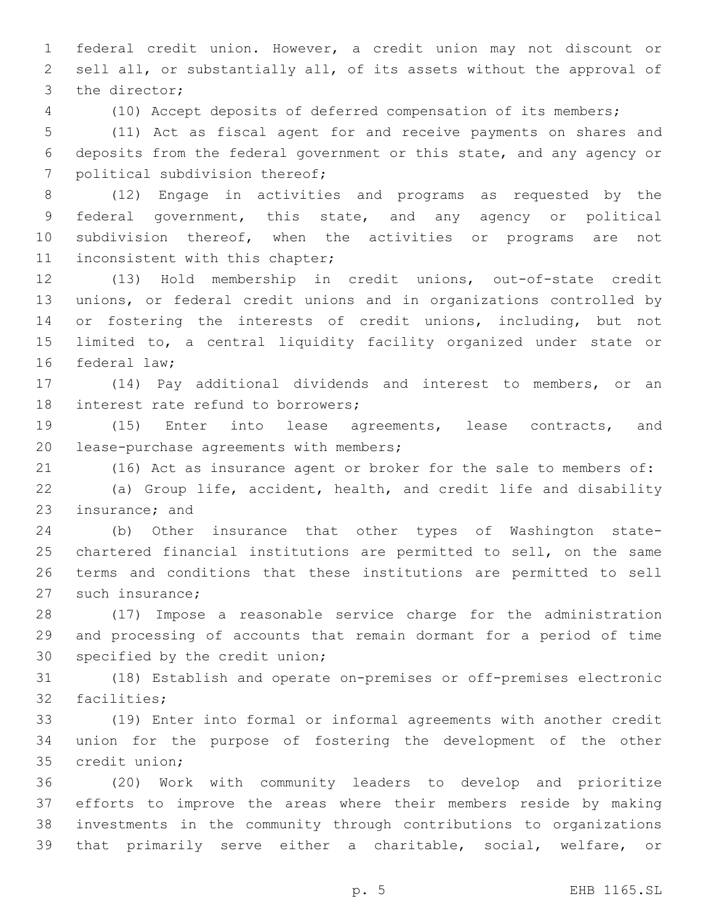federal credit union. However, a credit union may not discount or sell all, or substantially all, of its assets without the approval of 3 the director;

(10) Accept deposits of deferred compensation of its members;

 (11) Act as fiscal agent for and receive payments on shares and deposits from the federal government or this state, and any agency or 7 political subdivision thereof;

 (12) Engage in activities and programs as requested by the federal government, this state, and any agency or political subdivision thereof, when the activities or programs are not 11 inconsistent with this chapter;

 (13) Hold membership in credit unions, out-of-state credit unions, or federal credit unions and in organizations controlled by 14 or fostering the interests of credit unions, including, but not limited to, a central liquidity facility organized under state or 16 federal law:

 (14) Pay additional dividends and interest to members, or an 18 interest rate refund to borrowers;

 (15) Enter into lease agreements, lease contracts, and 20 lease-purchase agreements with members;

(16) Act as insurance agent or broker for the sale to members of:

 (a) Group life, accident, health, and credit life and disability 23 insurance; and

 (b) Other insurance that other types of Washington state- chartered financial institutions are permitted to sell, on the same terms and conditions that these institutions are permitted to sell 27 such insurance:

 (17) Impose a reasonable service charge for the administration and processing of accounts that remain dormant for a period of time 30 specified by the credit union;

 (18) Establish and operate on-premises or off-premises electronic 32 facilities:

 (19) Enter into formal or informal agreements with another credit union for the purpose of fostering the development of the other 35 credit union;

 (20) Work with community leaders to develop and prioritize efforts to improve the areas where their members reside by making investments in the community through contributions to organizations that primarily serve either a charitable, social, welfare, or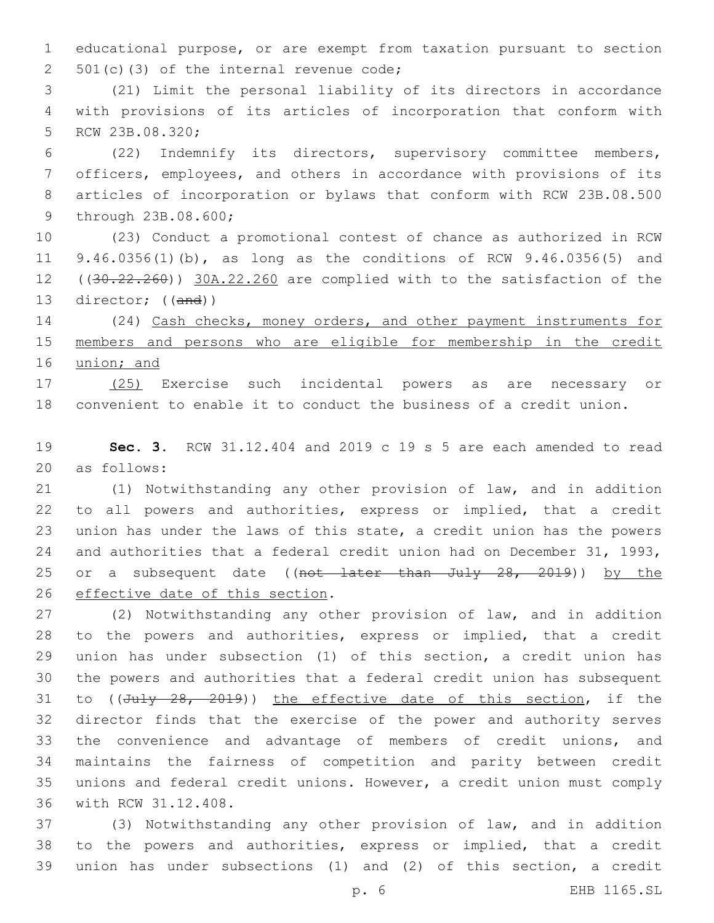educational purpose, or are exempt from taxation pursuant to section 501(c)(3) of the internal revenue code;

 (21) Limit the personal liability of its directors in accordance with provisions of its articles of incorporation that conform with 5 RCW 23B.08.320;

 (22) Indemnify its directors, supervisory committee members, officers, employees, and others in accordance with provisions of its articles of incorporation or bylaws that conform with RCW 23B.08.500 9 through 23B.08.600;

 (23) Conduct a promotional contest of chance as authorized in RCW 9.46.0356(1)(b), as long as the conditions of RCW 9.46.0356(5) and 12 ((30.22.260)) 30A.22.260 are complied with to the satisfaction of the director; ((and))

 (24) Cash checks, money orders, and other payment instruments for members and persons who are eligible for membership in the credit union; and

 (25) Exercise such incidental powers as are necessary or convenient to enable it to conduct the business of a credit union.

 **Sec. 3.** RCW 31.12.404 and 2019 c 19 s 5 are each amended to read 20 as follows:

 (1) Notwithstanding any other provision of law, and in addition to all powers and authorities, express or implied, that a credit union has under the laws of this state, a credit union has the powers and authorities that a federal credit union had on December 31, 1993, 25 or a subsequent date ((not later than July 28, 2019)) by the 26 effective date of this section.

 (2) Notwithstanding any other provision of law, and in addition to the powers and authorities, express or implied, that a credit union has under subsection (1) of this section, a credit union has the powers and authorities that a federal credit union has subsequent 31 to ((July 28, 2019)) the effective date of this section, if the director finds that the exercise of the power and authority serves the convenience and advantage of members of credit unions, and maintains the fairness of competition and parity between credit unions and federal credit unions. However, a credit union must comply 36 with RCW 31.12.408.

 (3) Notwithstanding any other provision of law, and in addition to the powers and authorities, express or implied, that a credit union has under subsections (1) and (2) of this section, a credit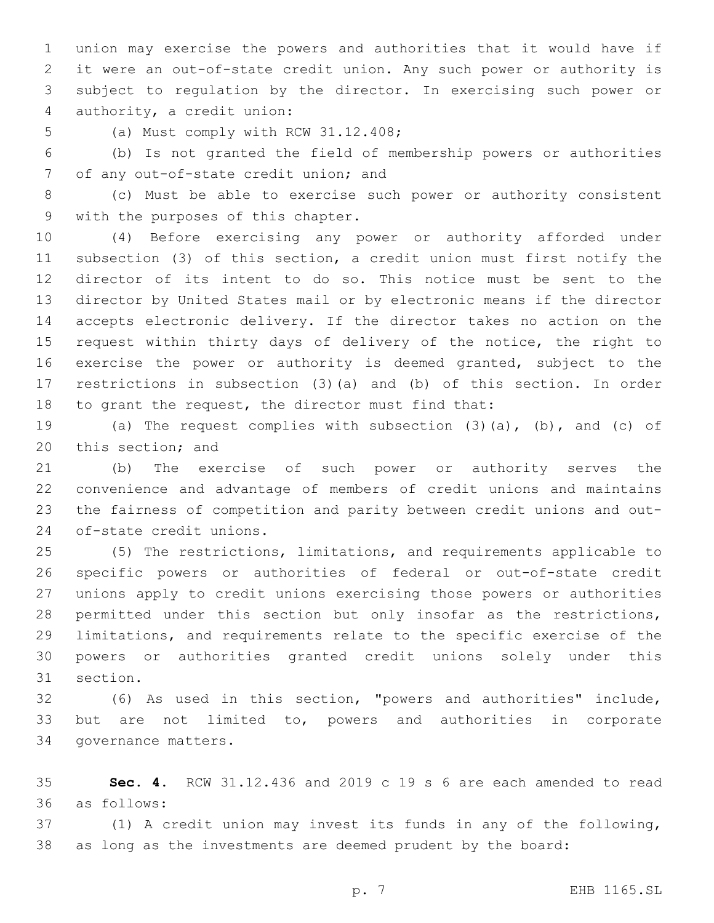union may exercise the powers and authorities that it would have if it were an out-of-state credit union. Any such power or authority is subject to regulation by the director. In exercising such power or 4 authority, a credit union:

5 (a) Must comply with RCW 31.12.408;

 (b) Is not granted the field of membership powers or authorities 7 of any out-of-state credit union; and

 (c) Must be able to exercise such power or authority consistent 9 with the purposes of this chapter.

 (4) Before exercising any power or authority afforded under subsection (3) of this section, a credit union must first notify the director of its intent to do so. This notice must be sent to the director by United States mail or by electronic means if the director accepts electronic delivery. If the director takes no action on the request within thirty days of delivery of the notice, the right to 16 exercise the power or authority is deemed granted, subject to the restrictions in subsection (3)(a) and (b) of this section. In order to grant the request, the director must find that:

 (a) The request complies with subsection (3)(a), (b), and (c) of 20 this section; and

 (b) The exercise of such power or authority serves the convenience and advantage of members of credit unions and maintains the fairness of competition and parity between credit unions and out-24 of-state credit unions.

 (5) The restrictions, limitations, and requirements applicable to specific powers or authorities of federal or out-of-state credit unions apply to credit unions exercising those powers or authorities 28 permitted under this section but only insofar as the restrictions, limitations, and requirements relate to the specific exercise of the powers or authorities granted credit unions solely under this 31 section.

 (6) As used in this section, "powers and authorities" include, but are not limited to, powers and authorities in corporate 34 governance matters.

 **Sec. 4.** RCW 31.12.436 and 2019 c 19 s 6 are each amended to read as follows:36

 (1) A credit union may invest its funds in any of the following, as long as the investments are deemed prudent by the board: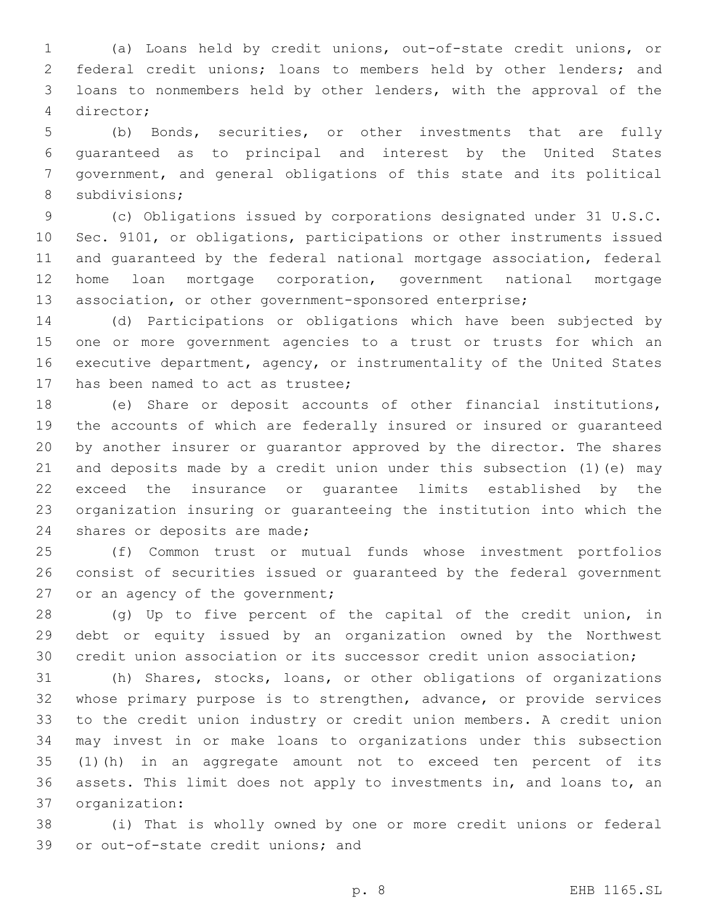(a) Loans held by credit unions, out-of-state credit unions, or federal credit unions; loans to members held by other lenders; and loans to nonmembers held by other lenders, with the approval of the director;4

 (b) Bonds, securities, or other investments that are fully guaranteed as to principal and interest by the United States government, and general obligations of this state and its political 8 subdivisions;

 (c) Obligations issued by corporations designated under 31 U.S.C. Sec. 9101, or obligations, participations or other instruments issued and guaranteed by the federal national mortgage association, federal home loan mortgage corporation, government national mortgage association, or other government-sponsored enterprise;

 (d) Participations or obligations which have been subjected by one or more government agencies to a trust or trusts for which an executive department, agency, or instrumentality of the United States 17 has been named to act as trustee;

 (e) Share or deposit accounts of other financial institutions, the accounts of which are federally insured or insured or guaranteed by another insurer or guarantor approved by the director. The shares and deposits made by a credit union under this subsection (1)(e) may exceed the insurance or guarantee limits established by the organization insuring or guaranteeing the institution into which the 24 shares or deposits are made;

 (f) Common trust or mutual funds whose investment portfolios consist of securities issued or guaranteed by the federal government 27 or an agency of the government;

 (g) Up to five percent of the capital of the credit union, in debt or equity issued by an organization owned by the Northwest credit union association or its successor credit union association;

 (h) Shares, stocks, loans, or other obligations of organizations whose primary purpose is to strengthen, advance, or provide services to the credit union industry or credit union members. A credit union may invest in or make loans to organizations under this subsection (1)(h) in an aggregate amount not to exceed ten percent of its assets. This limit does not apply to investments in, and loans to, an organization:37

 (i) That is wholly owned by one or more credit unions or federal 39 or out-of-state credit unions; and

p. 8 EHB 1165.SL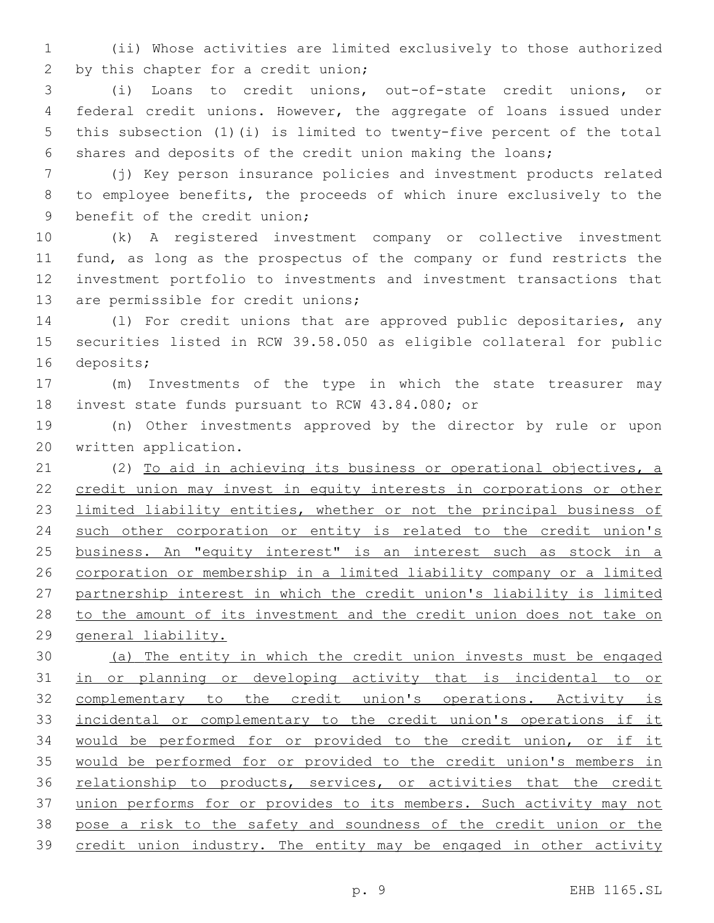(ii) Whose activities are limited exclusively to those authorized 2 by this chapter for a credit union;

 (i) Loans to credit unions, out-of-state credit unions, or federal credit unions. However, the aggregate of loans issued under this subsection (1)(i) is limited to twenty-five percent of the total shares and deposits of the credit union making the loans;

 (j) Key person insurance policies and investment products related to employee benefits, the proceeds of which inure exclusively to the 9 benefit of the credit union;

 (k) A registered investment company or collective investment fund, as long as the prospectus of the company or fund restricts the investment portfolio to investments and investment transactions that 13 are permissible for credit unions;

 (l) For credit unions that are approved public depositaries, any securities listed in RCW 39.58.050 as eligible collateral for public 16 deposits;

 (m) Investments of the type in which the state treasurer may 18 invest state funds pursuant to RCW 43.84.080; or

 (n) Other investments approved by the director by rule or upon 20 written application.

 (2) To aid in achieving its business or operational objectives, a credit union may invest in equity interests in corporations or other limited liability entities, whether or not the principal business of such other corporation or entity is related to the credit union's business. An "equity interest" is an interest such as stock in a corporation or membership in a limited liability company or a limited partnership interest in which the credit union's liability is limited to the amount of its investment and the credit union does not take on general liability.

 (a) The entity in which the credit union invests must be engaged in or planning or developing activity that is incidental to or 32 complementary to the credit union's operations. Activity is incidental or complementary to the credit union's operations if it would be performed for or provided to the credit union, or if it would be performed for or provided to the credit union's members in 36 relationship to products, services, or activities that the credit union performs for or provides to its members. Such activity may not pose a risk to the safety and soundness of the credit union or the 39 credit union industry. The entity may be engaged in other activity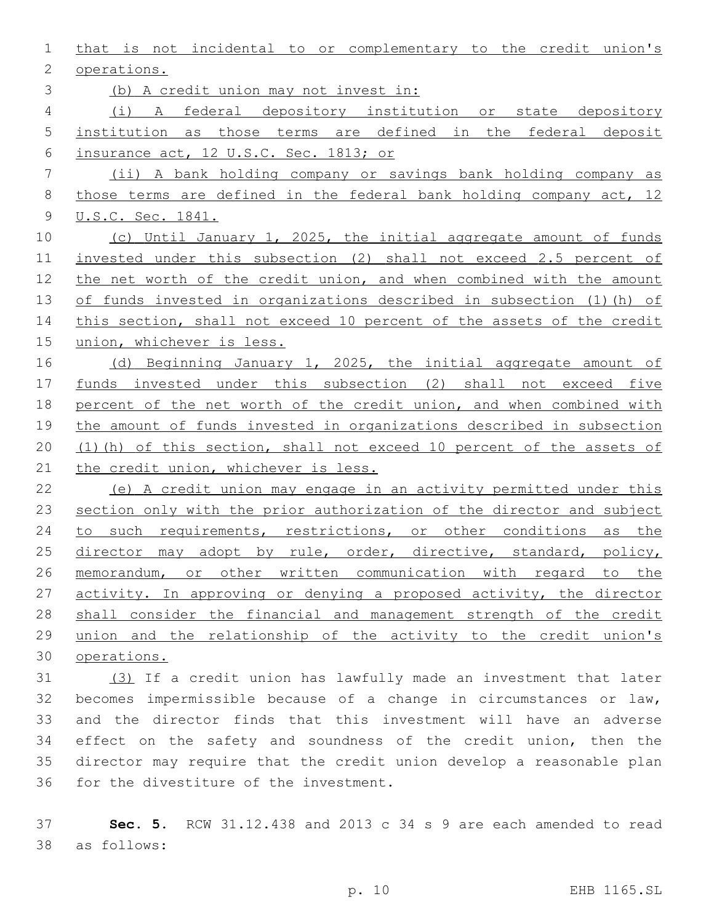that is not incidental to or complementary to the credit union's 2 operations. (b) A credit union may not invest in: (i) A federal depository institution or state depository institution as those terms are defined in the federal deposit insurance act, 12 U.S.C. Sec. 1813; or (ii) A bank holding company or savings bank holding company as those terms are defined in the federal bank holding company act, 12 U.S.C. Sec. 1841. (c) Until January 1, 2025, the initial aggregate amount of funds invested under this subsection (2) shall not exceed 2.5 percent of the net worth of the credit union, and when combined with the amount of funds invested in organizations described in subsection (1)(h) of 14 this section, shall not exceed 10 percent of the assets of the credit union, whichever is less. 16 (d) Beginning January 1, 2025, the initial aggregate amount of funds invested under this subsection (2) shall not exceed five percent of the net worth of the credit union, and when combined with the amount of funds invested in organizations described in subsection (1)(h) of this section, shall not exceed 10 percent of the assets of 21 the credit union, whichever is less. (e) A credit union may engage in an activity permitted under this 23 section only with the prior authorization of the director and subject 24 to such requirements, restrictions, or other conditions as the 25 director may adopt by rule, order, directive, standard, policy, memorandum, or other written communication with regard to the 27 activity. In approving or denying a proposed activity, the director 28 shall consider the financial and management strength of the credit union and the relationship of the activity to the credit union's operations. (3) If a credit union has lawfully made an investment that later becomes impermissible because of a change in circumstances or law, and the director finds that this investment will have an adverse effect on the safety and soundness of the credit union, then the director may require that the credit union develop a reasonable plan

36 for the divestiture of the investment.

 **Sec. 5.** RCW 31.12.438 and 2013 c 34 s 9 are each amended to read as follows:38